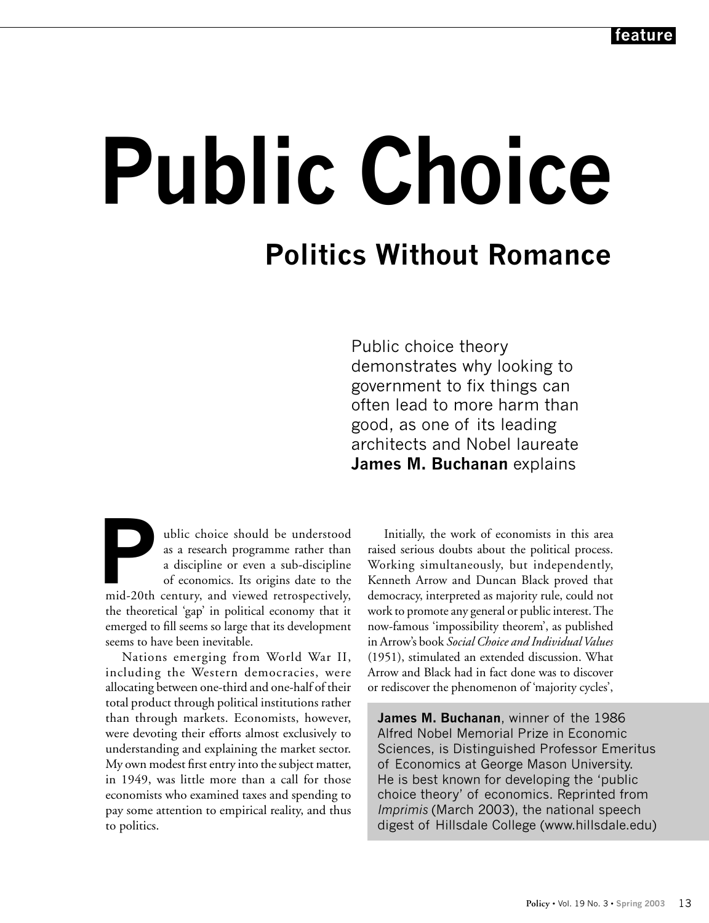# **Public Choice**

# **Politics Without Romance**

Public choice theory demonstrates why looking to government to fix things can often lead to more harm than good, as one of its leading architects and Nobel laureate **James M. Buchanan** explains

whic choice should be understood<br>as a research programme rather than<br>a discipline or even a sub-discipline<br>of economics. Its origins date to the<br>mid-20th century, and viewed retrospectively, ublic choice should be understood as a research programme rather than a discipline or even a sub-discipline of economics. Its origins date to the the theoretical 'gap' in political economy that it emerged to fill seems so large that its development seems to have been inevitable.

Nations emerging from World War II, including the Western democracies, were allocating between one-third and one-half of their total product through political institutions rather than through markets. Economists, however, were devoting their efforts almost exclusively to understanding and explaining the market sector. My own modest first entry into the subject matter, in 1949, was little more than a call for those economists who examined taxes and spending to pay some attention to empirical reality, and thus to politics.

Initially, the work of economists in this area raised serious doubts about the political process. Working simultaneously, but independently, Kenneth Arrow and Duncan Black proved that democracy, interpreted as majority rule, could not work to promote any general or public interest. The now-famous 'impossibility theorem', as published in Arrow's book *Social Choice and Individual Values* (1951), stimulated an extended discussion. What Arrow and Black had in fact done was to discover or rediscover the phenomenon of 'majority cycles',

**James M. Buchanan**, winner of the 1986 Alfred Nobel Memorial Prize in Economic Sciences, is Distinguished Professor Emeritus of Economics at George Mason University. He is best known for developing the 'public choice theory' of economics. Reprinted from *Imprimis* (March 2003), the national speech digest of Hillsdale College (www.hillsdale.edu)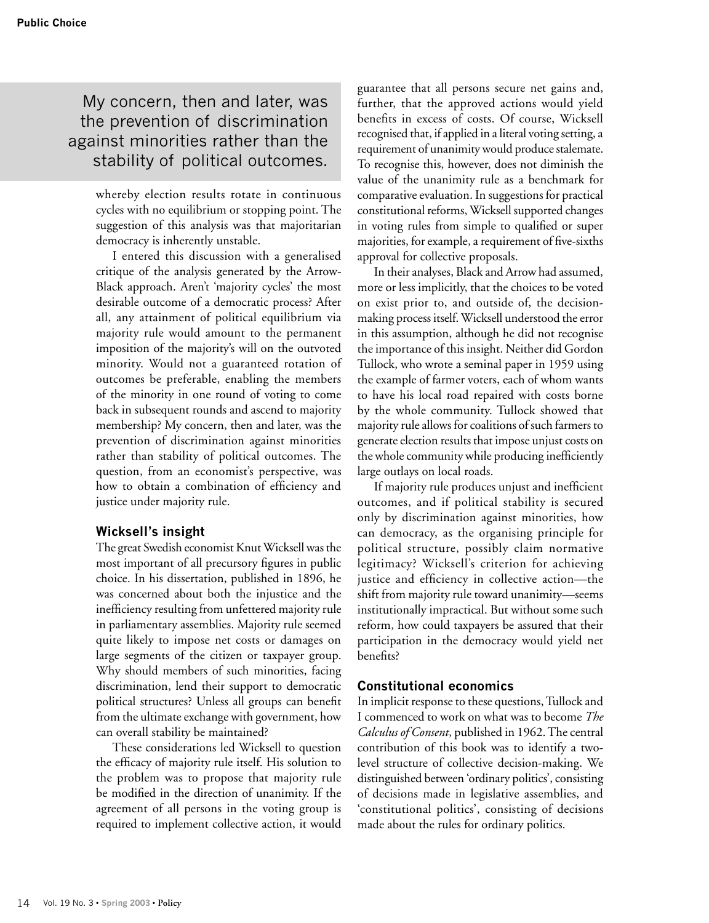### My concern, then and later, was the prevention of discrimination against minorities rather than the stability of political outcomes.

whereby election results rotate in continuous cycles with no equilibrium or stopping point. The suggestion of this analysis was that majoritarian democracy is inherently unstable.

I entered this discussion with a generalised critique of the analysis generated by the Arrow-Black approach. Aren't 'majority cycles' the most desirable outcome of a democratic process? After all, any attainment of political equilibrium via majority rule would amount to the permanent imposition of the majority's will on the outvoted minority. Would not a guaranteed rotation of outcomes be preferable, enabling the members of the minority in one round of voting to come back in subsequent rounds and ascend to majority membership? My concern, then and later, was the prevention of discrimination against minorities rather than stability of political outcomes. The question, from an economist's perspective, was how to obtain a combination of efficiency and justice under majority rule.

#### **Wicksell's insight**

The great Swedish economist Knut Wicksell was the most important of all precursory figures in public choice. In his dissertation, published in 1896, he was concerned about both the injustice and the inefficiency resulting from unfettered majority rule in parliamentary assemblies. Majority rule seemed quite likely to impose net costs or damages on large segments of the citizen or taxpayer group. Why should members of such minorities, facing discrimination, lend their support to democratic political structures? Unless all groups can benefit from the ultimate exchange with government, how can overall stability be maintained?

These considerations led Wicksell to question the efficacy of majority rule itself. His solution to the problem was to propose that majority rule be modified in the direction of unanimity. If the agreement of all persons in the voting group is required to implement collective action, it would guarantee that all persons secure net gains and, further, that the approved actions would yield benefits in excess of costs. Of course, Wicksell recognised that, if applied in a literal voting setting, a requirement of unanimity would produce stalemate. To recognise this, however, does not diminish the value of the unanimity rule as a benchmark for comparative evaluation. In suggestions for practical constitutional reforms, Wicksell supported changes in voting rules from simple to qualified or super majorities, for example, a requirement of five-sixths approval for collective proposals.

In their analyses, Black and Arrow had assumed, more or less implicitly, that the choices to be voted on exist prior to, and outside of, the decisionmaking process itself. Wicksell understood the error in this assumption, although he did not recognise the importance of this insight. Neither did Gordon Tullock, who wrote a seminal paper in 1959 using the example of farmer voters, each of whom wants to have his local road repaired with costs borne by the whole community. Tullock showed that majority rule allows for coalitions of such farmers to generate election results that impose unjust costs on the whole community while producing inefficiently large outlays on local roads.

If majority rule produces unjust and inefficient outcomes, and if political stability is secured only by discrimination against minorities, how can democracy, as the organising principle for political structure, possibly claim normative legitimacy? Wicksell's criterion for achieving justice and efficiency in collective action—the shift from majority rule toward unanimity—seems institutionally impractical. But without some such reform, how could taxpayers be assured that their participation in the democracy would yield net benefits?

#### **Constitutional economics**

In implicit response to these questions, Tullock and I commenced to work on what was to become *The Calculus of Consent*, published in 1962. The central contribution of this book was to identify a twolevel structure of collective decision-making. We distinguished between 'ordinary politics', consisting of decisions made in legislative assemblies, and 'constitutional politics', consisting of decisions made about the rules for ordinary politics.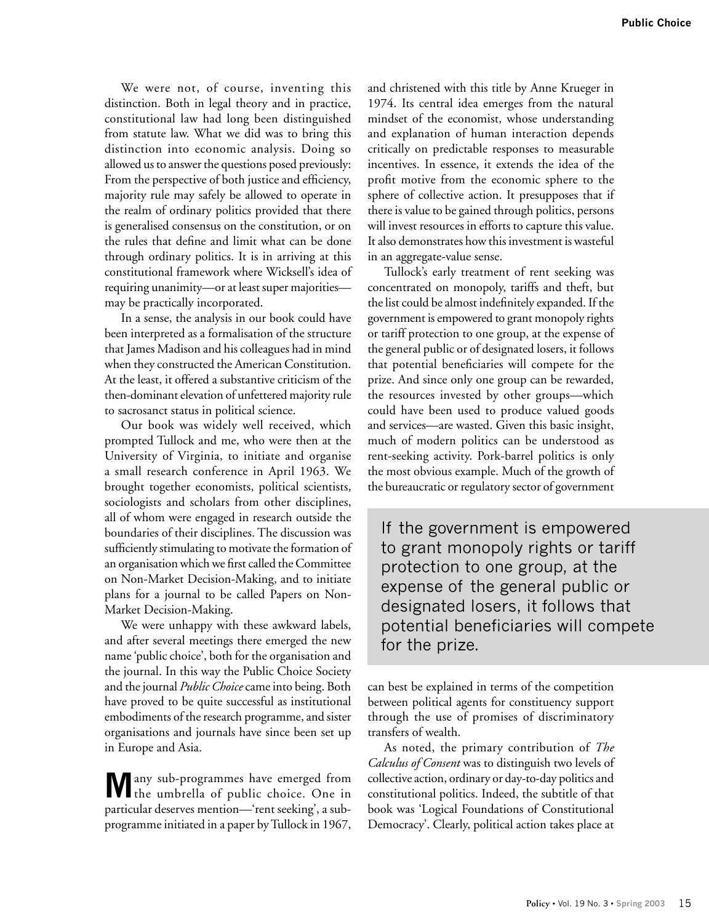We were not, of course, inventing this distinction. Both in legal theory and in practice, constitutional law had long been distinguished from statute law. What we did was to bring this distinction into economic analysis. Doing so allowed us to answer the questions posed previously: From the perspective of both justice and efficiency, majority rule may safely be allowed to operate in the realm of ordinary politics provided that there is generalised consensus on the constitution, or on the rules that define and limit what can be done through ordinary politics. It is in arriving at this constitutional framework where Wicksell's idea of requiring unanimity—or at least super majorities may be practically incorporated.

In a sense, the analysis in our book could have been interpreted as a formalisation of the structure that James Madison and his colleagues had in mind when they constructed the American Constitution. At the least, it offered a substantive criticism of the then-dominant elevation of unfettered majority rule to sacrosanct status in political science.

Our book was widely well received, which prompted Tullock and me, who were then at the University of Virginia, to initiate and organise a small research conference in April 1963. We brought together economists, political scientists, sociologists and scholars from other disciplines, all of whom were engaged in research outside the boundaries of their disciplines. The discussion was sufficiently stimulating to motivate the formation of an organisation which we first called the Committee on Non-Market Decision-Making, and to initiate plans for a journal to be called Papers on Non-Market Decision-Making.

We were unhappy with these awkward labels, and after several meetings there emerged the new name 'public choice', both for the organisation and the journal. In this way the Public Choice Society and the journal *Public Choice* came into being. Both have proved to be quite successful as institutional embodiments of the research programme, and sister organisations and journals have since been set up in Europe and Asia.

**M**any sub-programmes have emerged from the umbrella of public choice. One in particular deserves mention—'rent seeking', a subprogramme initiated in a paper by Tullock in 1967,

and christened with this title by Anne Krueger in 1974. Its central idea emerges from the natural mindset of the economist, whose understanding and explanation of human interaction depends critically on predictable responses to measurable incentives. In essence, it extends the idea of the profit motive from the economic sphere to the sphere of collective action. It presupposes that if there is value to be gained through politics, persons will invest resources in efforts to capture this value. It also demonstrates how this investment is wasteful in an aggregate-value sense.

Tullock's early treatment of rent seeking was concentrated on monopoly, tariffs and theft, but the list could be almost indefinitely expanded. If the government is empowered to grant monopoly rights or tariff protection to one group, at the expense of the general public or of designated losers, it follows that potential beneficiaries will compete for the prize. And since only one group can be rewarded, the resources invested by other groups—which could have been used to produce valued goods and services—are wasted. Given this basic insight, much of modern politics can be understood as rent-seeking activity. Pork-barrel politics is only the most obvious example. Much of the growth of the bureaucratic or regulatory sector of government

If the government is empowered to grant monopoly rights or tariff protection to one group, at the expense of the general public or designated losers, it follows that potential beneficiaries will compete for the prize.

can best be explained in terms of the competition between political agents for constituency support through the use of promises of discriminatory transfers of wealth.

As noted, the primary contribution of *The Calculus of Consent* was to distinguish two levels of collective action, ordinary or day-to-day politics and constitutional politics. Indeed, the subtitle of that book was 'Logical Foundations of Constitutional Democracy'. Clearly, political action takes place at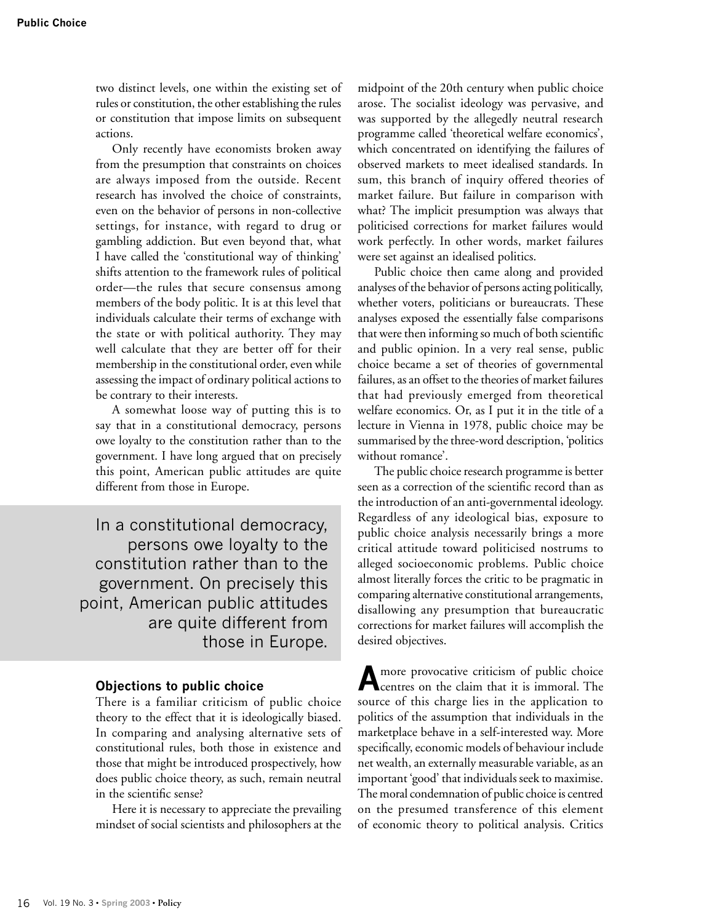two distinct levels, one within the existing set of rules or constitution, the other establishing the rules or constitution that impose limits on subsequent actions.

Only recently have economists broken away from the presumption that constraints on choices are always imposed from the outside. Recent research has involved the choice of constraints, even on the behavior of persons in non-collective settings, for instance, with regard to drug or gambling addiction. But even beyond that, what I have called the 'constitutional way of thinking' shifts attention to the framework rules of political order—the rules that secure consensus among members of the body politic. It is at this level that individuals calculate their terms of exchange with the state or with political authority. They may well calculate that they are better off for their membership in the constitutional order, even while assessing the impact of ordinary political actions to be contrary to their interests.

A somewhat loose way of putting this is to say that in a constitutional democracy, persons owe loyalty to the constitution rather than to the government. I have long argued that on precisely this point, American public attitudes are quite different from those in Europe.

 In a constitutional democracy, persons owe loyalty to the constitution rather than to the government. On precisely this point, American public attitudes are quite different from those in Europe.

#### **Objections to public choice**

There is a familiar criticism of public choice theory to the effect that it is ideologically biased. In comparing and analysing alternative sets of constitutional rules, both those in existence and those that might be introduced prospectively, how does public choice theory, as such, remain neutral in the scientific sense?

Here it is necessary to appreciate the prevailing mindset of social scientists and philosophers at the midpoint of the 20th century when public choice arose. The socialist ideology was pervasive, and was supported by the allegedly neutral research programme called 'theoretical welfare economics', which concentrated on identifying the failures of observed markets to meet idealised standards. In sum, this branch of inquiry offered theories of market failure. But failure in comparison with what? The implicit presumption was always that politicised corrections for market failures would work perfectly. In other words, market failures were set against an idealised politics.

Public choice then came along and provided analyses of the behavior of persons acting politically, whether voters, politicians or bureaucrats. These analyses exposed the essentially false comparisons that were then informing so much of both scientific and public opinion. In a very real sense, public choice became a set of theories of governmental failures, as an offset to the theories of market failures that had previously emerged from theoretical welfare economics. Or, as I put it in the title of a lecture in Vienna in 1978, public choice may be summarised by the three-word description, 'politics without romance'.

The public choice research programme is better seen as a correction of the scientific record than as the introduction of an anti-governmental ideology. Regardless of any ideological bias, exposure to public choice analysis necessarily brings a more critical attitude toward politicised nostrums to alleged socioeconomic problems. Public choice almost literally forces the critic to be pragmatic in comparing alternative constitutional arrangements, disallowing any presumption that bureaucratic corrections for market failures will accomplish the desired objectives.

**A**more provocative criticism of public choice centres on the claim that it is immoral. The source of this charge lies in the application to politics of the assumption that individuals in the marketplace behave in a self-interested way. More specifically, economic models of behaviour include net wealth, an externally measurable variable, as an important 'good' that individuals seek to maximise. The moral condemnation of public choice is centred on the presumed transference of this element of economic theory to political analysis. Critics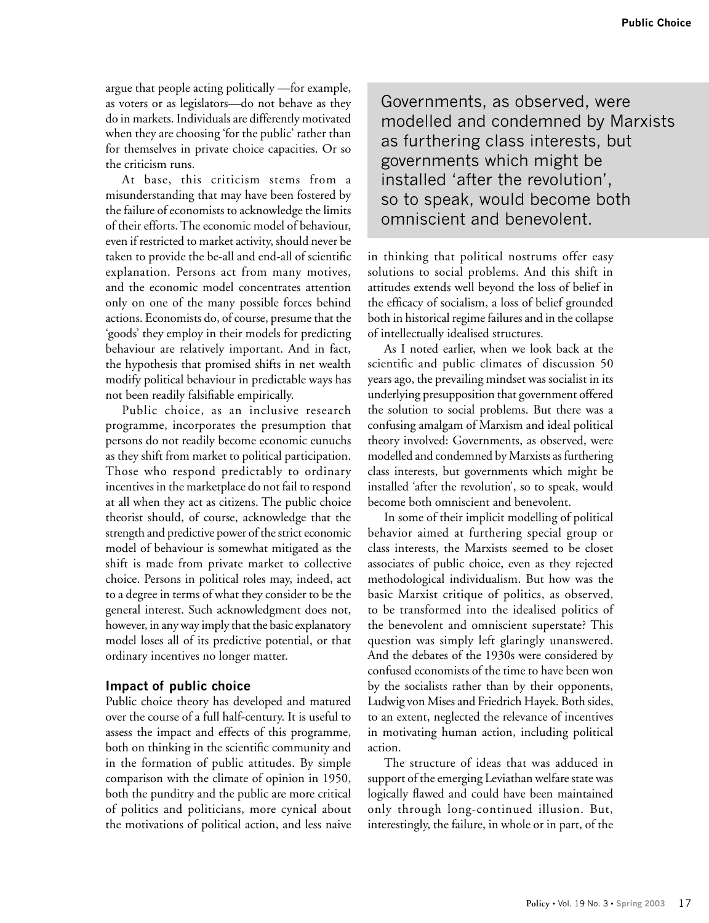argue that people acting politically —for example, as voters or as legislators—do not behave as they do in markets. Individuals are differently motivated when they are choosing 'for the public' rather than for themselves in private choice capacities. Or so the criticism runs.

At base, this criticism stems from a misunderstanding that may have been fostered by the failure of economists to acknowledge the limits of their efforts. The economic model of behaviour, even if restricted to market activity, should never be taken to provide the be-all and end-all of scientific explanation. Persons act from many motives, and the economic model concentrates attention only on one of the many possible forces behind actions. Economists do, of course, presume that the 'goods' they employ in their models for predicting behaviour are relatively important. And in fact, the hypothesis that promised shifts in net wealth modify political behaviour in predictable ways has not been readily falsifiable empirically.

Public choice, as an inclusive research programme, incorporates the presumption that persons do not readily become economic eunuchs as they shift from market to political participation. Those who respond predictably to ordinary incentives in the marketplace do not fail to respond at all when they act as citizens. The public choice theorist should, of course, acknowledge that the strength and predictive power of the strict economic model of behaviour is somewhat mitigated as the shift is made from private market to collective choice. Persons in political roles may, indeed, act to a degree in terms of what they consider to be the general interest. Such acknowledgment does not, however, in any way imply that the basic explanatory model loses all of its predictive potential, or that ordinary incentives no longer matter.

#### **Impact of public choice**

Public choice theory has developed and matured over the course of a full half-century. It is useful to assess the impact and effects of this programme, both on thinking in the scientific community and in the formation of public attitudes. By simple comparison with the climate of opinion in 1950, both the punditry and the public are more critical of politics and politicians, more cynical about the motivations of political action, and less naive

Governments, as observed, were modelled and condemned by Marxists as furthering class interests, but governments which might be installed 'after the revolution', so to speak, would become both omniscient and benevolent.

in thinking that political nostrums offer easy solutions to social problems. And this shift in attitudes extends well beyond the loss of belief in the efficacy of socialism, a loss of belief grounded both in historical regime failures and in the collapse of intellectually idealised structures.

As I noted earlier, when we look back at the scientific and public climates of discussion 50 years ago, the prevailing mindset was socialist in its underlying presupposition that government offered the solution to social problems. But there was a confusing amalgam of Marxism and ideal political theory involved: Governments, as observed, were modelled and condemned by Marxists as furthering class interests, but governments which might be installed 'after the revolution', so to speak, would become both omniscient and benevolent.

In some of their implicit modelling of political behavior aimed at furthering special group or class interests, the Marxists seemed to be closet associates of public choice, even as they rejected methodological individualism. But how was the basic Marxist critique of politics, as observed, to be transformed into the idealised politics of the benevolent and omniscient superstate? This question was simply left glaringly unanswered. And the debates of the 1930s were considered by confused economists of the time to have been won by the socialists rather than by their opponents, Ludwig von Mises and Friedrich Hayek. Both sides, to an extent, neglected the relevance of incentives in motivating human action, including political action.

The structure of ideas that was adduced in support of the emerging Leviathan welfare state was logically flawed and could have been maintained only through long-continued illusion. But, interestingly, the failure, in whole or in part, of the